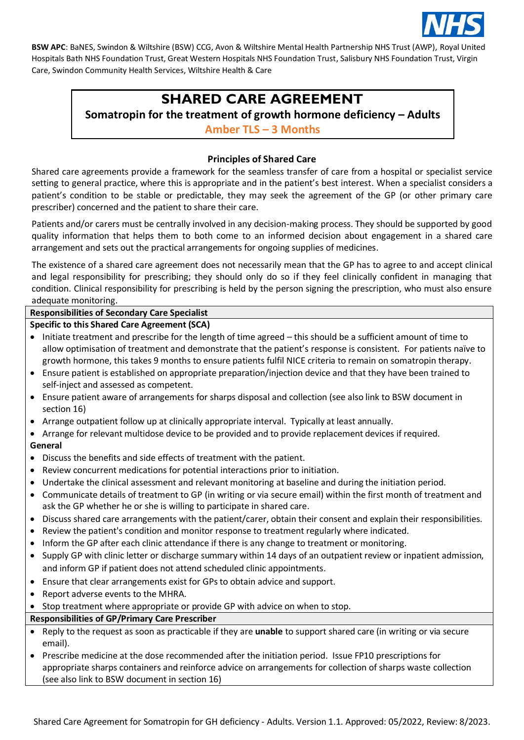

# **SHARED CARE AGREEMENT**

**Somatropin for the treatment of growth hormone deficiency – Adults**

**Amber TLS – 3 Months**

## **Principles of Shared Care**

Shared care agreements provide a framework for the seamless transfer of care from a hospital or specialist service setting to general practice, where this is appropriate and in the patient's best interest. When a specialist considers a patient's condition to be stable or predictable, they may seek the agreement of the GP (or other primary care prescriber) concerned and the patient to share their care.

Patients and/or carers must be centrally involved in any decision-making process. They should be supported by good quality information that helps them to both come to an informed decision about engagement in a shared care arrangement and sets out the practical arrangements for ongoing supplies of medicines.

The existence of a shared care agreement does not necessarily mean that the GP has to agree to and accept clinical and legal responsibility for prescribing; they should only do so if they feel clinically confident in managing that condition. Clinical responsibility for prescribing is held by the person signing the prescription, who must also ensure adequate monitoring.

### **Responsibilities of Secondary Care Specialist**

### **Specific to this Shared Care Agreement (SCA)**

- Initiate treatment and prescribe for the length of time agreed this should be a sufficient amount of time to allow optimisation of treatment and demonstrate that the patient's response is consistent. For patients naïve to growth hormone, this takes 9 months to ensure patients fulfil NICE criteria to remain on somatropin therapy.
- Ensure patient is established on appropriate preparation/injection device and that they have been trained to self-inject and assessed as competent.
- Ensure patient aware of arrangements for sharps disposal and collection (see also link to BSW document in section 16)
- Arrange outpatient follow up at clinically appropriate interval. Typically at least annually.
- Arrange for relevant multidose device to be provided and to provide replacement devices if required. **General**
- Discuss the benefits and side effects of treatment with the patient.
- Review concurrent medications for potential interactions prior to initiation.
- Undertake the clinical assessment and relevant monitoring at baseline and during the initiation period.
- Communicate details of treatment to GP (in writing or via secure email) within the first month of treatment and ask the GP whether he or she is willing to participate in shared care.
- Discuss shared care arrangements with the patient/carer, obtain their consent and explain their responsibilities.
- Review the patient's condition and monitor response to treatment regularly where indicated.
- Inform the GP after each clinic attendance if there is any change to treatment or monitoring.
- Supply GP with clinic letter or discharge summary within 14 days of an outpatient review or inpatient admission, and inform GP if patient does not attend scheduled clinic appointments.
- Ensure that clear arrangements exist for GPs to obtain advice and support.
- Report adverse events to the MHRA.
- Stop treatment where appropriate or provide GP with advice on when to stop.

### **Responsibilities of GP/Primary Care Prescriber**

- Reply to the request as soon as practicable if they are **unable** to support shared care (in writing or via secure email).
- Prescribe medicine at the dose recommended after the initiation period. Issue FP10 prescriptions for appropriate sharps containers and reinforce advice on arrangements for collection of sharps waste collection (see also link to BSW document in section 16)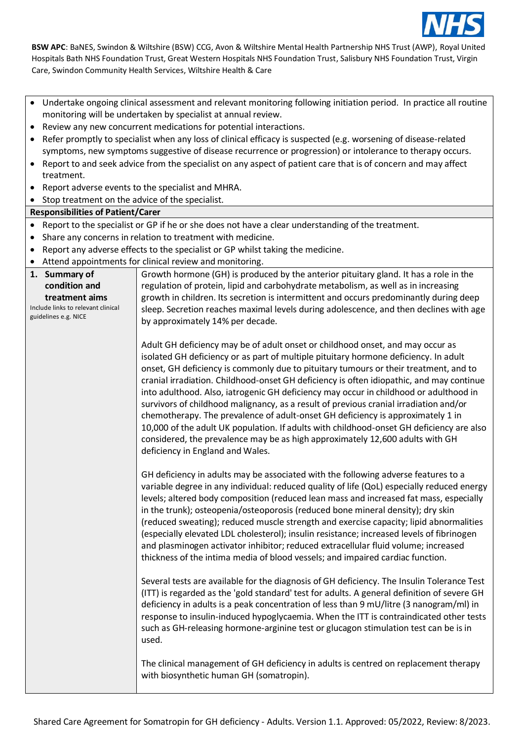

- Undertake ongoing clinical assessment and relevant monitoring following initiation period. In practice all routine monitoring will be undertaken by specialist at annual review.
- Review any new concurrent medications for potential interactions.
- Refer promptly to specialist when any loss of clinical efficacy is suspected (e.g. worsening of disease-related symptoms, new symptoms suggestive of disease recurrence or progression) or intolerance to therapy occurs.
- Report to and seek advice from the specialist on any aspect of patient care that is of concern and may affect treatment.
- Report adverse events to the specialist and MHRA.
- Stop treatment on the advice of the specialist.

#### **Responsibilities of Patient/Carer**

- Report to the specialist or GP if he or she does not have a clear understanding of the treatment.
- Share any concerns in relation to treatment with medicine.
- Report any adverse effects to the specialist or GP whilst taking the medicine.
- Attend appointments for clinical review and monitoring.

|                                                                                                                | Attend appointments for emilear review and monitoring.                                                                                                                                                                                                                                                                                                                                                                                                                                                                                                                                                                                                                                                                                                                                                                                           |
|----------------------------------------------------------------------------------------------------------------|--------------------------------------------------------------------------------------------------------------------------------------------------------------------------------------------------------------------------------------------------------------------------------------------------------------------------------------------------------------------------------------------------------------------------------------------------------------------------------------------------------------------------------------------------------------------------------------------------------------------------------------------------------------------------------------------------------------------------------------------------------------------------------------------------------------------------------------------------|
| 1. Summary of<br>condition and<br>treatment aims<br>Include links to relevant clinical<br>guidelines e.g. NICE | Growth hormone (GH) is produced by the anterior pituitary gland. It has a role in the<br>regulation of protein, lipid and carbohydrate metabolism, as well as in increasing<br>growth in children. Its secretion is intermittent and occurs predominantly during deep<br>sleep. Secretion reaches maximal levels during adolescence, and then declines with age<br>by approximately 14% per decade.                                                                                                                                                                                                                                                                                                                                                                                                                                              |
|                                                                                                                | Adult GH deficiency may be of adult onset or childhood onset, and may occur as<br>isolated GH deficiency or as part of multiple pituitary hormone deficiency. In adult<br>onset, GH deficiency is commonly due to pituitary tumours or their treatment, and to<br>cranial irradiation. Childhood-onset GH deficiency is often idiopathic, and may continue<br>into adulthood. Also, iatrogenic GH deficiency may occur in childhood or adulthood in<br>survivors of childhood malignancy, as a result of previous cranial irradiation and/or<br>chemotherapy. The prevalence of adult-onset GH deficiency is approximately 1 in<br>10,000 of the adult UK population. If adults with childhood-onset GH deficiency are also<br>considered, the prevalence may be as high approximately 12,600 adults with GH<br>deficiency in England and Wales. |
|                                                                                                                | GH deficiency in adults may be associated with the following adverse features to a<br>variable degree in any individual: reduced quality of life (QoL) especially reduced energy<br>levels; altered body composition (reduced lean mass and increased fat mass, especially<br>in the trunk); osteopenia/osteoporosis (reduced bone mineral density); dry skin<br>(reduced sweating); reduced muscle strength and exercise capacity; lipid abnormalities<br>(especially elevated LDL cholesterol); insulin resistance; increased levels of fibrinogen<br>and plasminogen activator inhibitor; reduced extracellular fluid volume; increased<br>thickness of the intima media of blood vessels; and impaired cardiac function.                                                                                                                     |
|                                                                                                                | Several tests are available for the diagnosis of GH deficiency. The Insulin Tolerance Test<br>(ITT) is regarded as the 'gold standard' test for adults. A general definition of severe GH<br>deficiency in adults is a peak concentration of less than 9 mU/litre (3 nanogram/ml) in<br>response to insulin-induced hypoglycaemia. When the ITT is contraindicated other tests<br>such as GH-releasing hormone-arginine test or glucagon stimulation test can be is in<br>used.                                                                                                                                                                                                                                                                                                                                                                  |
|                                                                                                                | The clinical management of GH deficiency in adults is centred on replacement therapy<br>with biosynthetic human GH (somatropin).                                                                                                                                                                                                                                                                                                                                                                                                                                                                                                                                                                                                                                                                                                                 |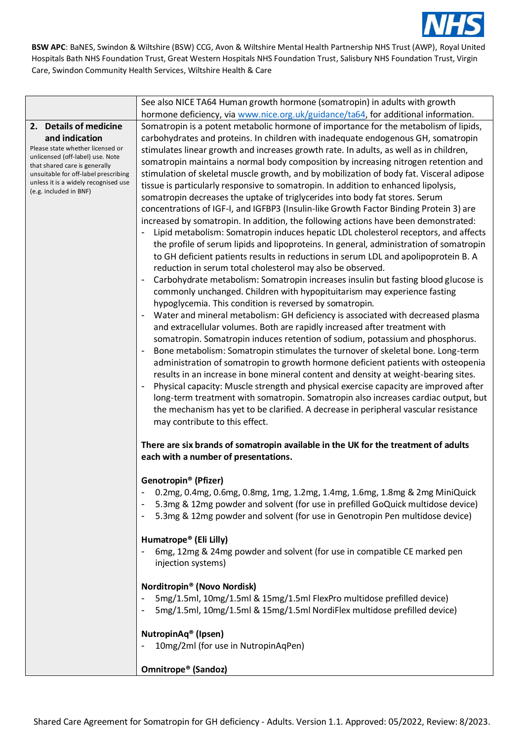

|                                                                                                                                                                                                                                                             | See also NICE TA64 Human growth hormone (somatropin) in adults with growth                                                                                                                                                                                                                                                                                                                                                                                                                                                                                                                                                                                                                                                                                                                                                                                                                                                                                                                                                                                                                                                                                                                                                                                                                                                                                                                                                                                                                                                                                                                                                                                                                                                                                                                                                                                                                                                                                                                                                                                                                                                                                                                                                                                                                      |
|-------------------------------------------------------------------------------------------------------------------------------------------------------------------------------------------------------------------------------------------------------------|-------------------------------------------------------------------------------------------------------------------------------------------------------------------------------------------------------------------------------------------------------------------------------------------------------------------------------------------------------------------------------------------------------------------------------------------------------------------------------------------------------------------------------------------------------------------------------------------------------------------------------------------------------------------------------------------------------------------------------------------------------------------------------------------------------------------------------------------------------------------------------------------------------------------------------------------------------------------------------------------------------------------------------------------------------------------------------------------------------------------------------------------------------------------------------------------------------------------------------------------------------------------------------------------------------------------------------------------------------------------------------------------------------------------------------------------------------------------------------------------------------------------------------------------------------------------------------------------------------------------------------------------------------------------------------------------------------------------------------------------------------------------------------------------------------------------------------------------------------------------------------------------------------------------------------------------------------------------------------------------------------------------------------------------------------------------------------------------------------------------------------------------------------------------------------------------------------------------------------------------------------------------------------------------------|
|                                                                                                                                                                                                                                                             |                                                                                                                                                                                                                                                                                                                                                                                                                                                                                                                                                                                                                                                                                                                                                                                                                                                                                                                                                                                                                                                                                                                                                                                                                                                                                                                                                                                                                                                                                                                                                                                                                                                                                                                                                                                                                                                                                                                                                                                                                                                                                                                                                                                                                                                                                                 |
| 2. Details of medicine<br>and indication<br>Please state whether licensed or<br>unlicensed (off-label) use. Note<br>that shared care is generally<br>unsuitable for off-label prescribing<br>unless it is a widely recognised use<br>(e.g. included in BNF) | hormone deficiency, via www.nice.org.uk/guidance/ta64, for additional information.<br>Somatropin is a potent metabolic hormone of importance for the metabolism of lipids,<br>carbohydrates and proteins. In children with inadequate endogenous GH, somatropin<br>stimulates linear growth and increases growth rate. In adults, as well as in children,<br>somatropin maintains a normal body composition by increasing nitrogen retention and<br>stimulation of skeletal muscle growth, and by mobilization of body fat. Visceral adipose<br>tissue is particularly responsive to somatropin. In addition to enhanced lipolysis,<br>somatropin decreases the uptake of triglycerides into body fat stores. Serum<br>concentrations of IGF-I, and IGFBP3 (Insulin-like Growth Factor Binding Protein 3) are<br>increased by somatropin. In addition, the following actions have been demonstrated:<br>Lipid metabolism: Somatropin induces hepatic LDL cholesterol receptors, and affects<br>the profile of serum lipids and lipoproteins. In general, administration of somatropin<br>to GH deficient patients results in reductions in serum LDL and apolipoprotein B. A<br>reduction in serum total cholesterol may also be observed.<br>Carbohydrate metabolism: Somatropin increases insulin but fasting blood glucose is<br>commonly unchanged. Children with hypopituitarism may experience fasting<br>hypoglycemia. This condition is reversed by somatropin.<br>Water and mineral metabolism: GH deficiency is associated with decreased plasma<br>and extracellular volumes. Both are rapidly increased after treatment with<br>somatropin. Somatropin induces retention of sodium, potassium and phosphorus.<br>Bone metabolism: Somatropin stimulates the turnover of skeletal bone. Long-term<br>administration of somatropin to growth hormone deficient patients with osteopenia<br>results in an increase in bone mineral content and density at weight-bearing sites.<br>Physical capacity: Muscle strength and physical exercise capacity are improved after<br>long-term treatment with somatropin. Somatropin also increases cardiac output, but<br>the mechanism has yet to be clarified. A decrease in peripheral vascular resistance<br>may contribute to this effect. |
|                                                                                                                                                                                                                                                             | There are six brands of somatropin available in the UK for the treatment of adults<br>each with a number of presentations.                                                                                                                                                                                                                                                                                                                                                                                                                                                                                                                                                                                                                                                                                                                                                                                                                                                                                                                                                                                                                                                                                                                                                                                                                                                                                                                                                                                                                                                                                                                                                                                                                                                                                                                                                                                                                                                                                                                                                                                                                                                                                                                                                                      |
|                                                                                                                                                                                                                                                             | Genotropin <sup>®</sup> (Pfizer)<br>0.2mg, 0.4mg, 0.6mg, 0.8mg, 1mg, 1.2mg, 1.4mg, 1.6mg, 1.8mg & 2mg MiniQuick<br>5.3mg & 12mg powder and solvent (for use in prefilled GoQuick multidose device)<br>5.3mg & 12mg powder and solvent (for use in Genotropin Pen multidose device)                                                                                                                                                                                                                                                                                                                                                                                                                                                                                                                                                                                                                                                                                                                                                                                                                                                                                                                                                                                                                                                                                                                                                                                                                                                                                                                                                                                                                                                                                                                                                                                                                                                                                                                                                                                                                                                                                                                                                                                                              |
|                                                                                                                                                                                                                                                             | Humatrope® (Eli Lilly)<br>6mg, 12mg & 24mg powder and solvent (for use in compatible CE marked pen<br>injection systems)                                                                                                                                                                                                                                                                                                                                                                                                                                                                                                                                                                                                                                                                                                                                                                                                                                                                                                                                                                                                                                                                                                                                                                                                                                                                                                                                                                                                                                                                                                                                                                                                                                                                                                                                                                                                                                                                                                                                                                                                                                                                                                                                                                        |
|                                                                                                                                                                                                                                                             | Norditropin® (Novo Nordisk)<br>5mg/1.5ml, 10mg/1.5ml & 15mg/1.5ml FlexPro multidose prefilled device)<br>5mg/1.5ml, 10mg/1.5ml & 15mg/1.5ml NordiFlex multidose prefilled device)                                                                                                                                                                                                                                                                                                                                                                                                                                                                                                                                                                                                                                                                                                                                                                                                                                                                                                                                                                                                                                                                                                                                                                                                                                                                                                                                                                                                                                                                                                                                                                                                                                                                                                                                                                                                                                                                                                                                                                                                                                                                                                               |
|                                                                                                                                                                                                                                                             | NutropinAq® (Ipsen)<br>10mg/2ml (for use in NutropinAqPen)                                                                                                                                                                                                                                                                                                                                                                                                                                                                                                                                                                                                                                                                                                                                                                                                                                                                                                                                                                                                                                                                                                                                                                                                                                                                                                                                                                                                                                                                                                                                                                                                                                                                                                                                                                                                                                                                                                                                                                                                                                                                                                                                                                                                                                      |
|                                                                                                                                                                                                                                                             | Omnitrope <sup>®</sup> (Sandoz)                                                                                                                                                                                                                                                                                                                                                                                                                                                                                                                                                                                                                                                                                                                                                                                                                                                                                                                                                                                                                                                                                                                                                                                                                                                                                                                                                                                                                                                                                                                                                                                                                                                                                                                                                                                                                                                                                                                                                                                                                                                                                                                                                                                                                                                                 |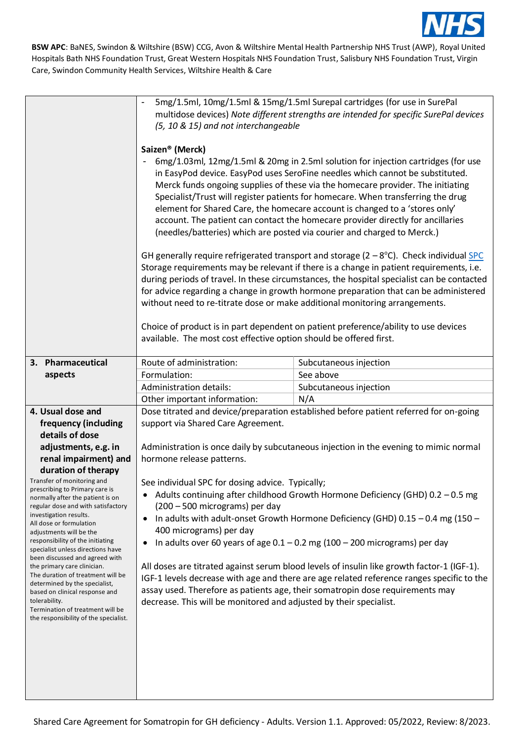

|                                                                       | 5mg/1.5ml, 10mg/1.5ml & 15mg/1.5ml Surepal cartridges (for use in SurePal<br>multidose devices) Note different strengths are intended for specific SurePal devices<br>(5, 10 & 15) and not interchangeable<br>Saizen <sup>®</sup> (Merck)<br>6mg/1.03ml, 12mg/1.5ml & 20mg in 2.5ml solution for injection cartridges (for use<br>in EasyPod device. EasyPod uses SeroFine needles which cannot be substituted.<br>Merck funds ongoing supplies of these via the homecare provider. The initiating<br>Specialist/Trust will register patients for homecare. When transferring the drug<br>element for Shared Care, the homecare account is changed to a 'stores only'<br>account. The patient can contact the homecare provider directly for ancillaries<br>(needles/batteries) which are posted via courier and charged to Merck.)<br>GH generally require refrigerated transport and storage $(2-8^{\circ}C)$ . Check individual SPC<br>Storage requirements may be relevant if there is a change in patient requirements, i.e.<br>during periods of travel. In these circumstances, the hospital specialist can be contacted<br>for advice regarding a change in growth hormone preparation that can be administered<br>without need to re-titrate dose or make additional monitoring arrangements.<br>Choice of product is in part dependent on patient preference/ability to use devices<br>available. The most cost effective option should be offered first. |                        |  |
|-----------------------------------------------------------------------|---------------------------------------------------------------------------------------------------------------------------------------------------------------------------------------------------------------------------------------------------------------------------------------------------------------------------------------------------------------------------------------------------------------------------------------------------------------------------------------------------------------------------------------------------------------------------------------------------------------------------------------------------------------------------------------------------------------------------------------------------------------------------------------------------------------------------------------------------------------------------------------------------------------------------------------------------------------------------------------------------------------------------------------------------------------------------------------------------------------------------------------------------------------------------------------------------------------------------------------------------------------------------------------------------------------------------------------------------------------------------------------------------------------------------------------------------------------------|------------------------|--|
| 3. Pharmaceutical                                                     | Route of administration:                                                                                                                                                                                                                                                                                                                                                                                                                                                                                                                                                                                                                                                                                                                                                                                                                                                                                                                                                                                                                                                                                                                                                                                                                                                                                                                                                                                                                                            | Subcutaneous injection |  |
| aspects                                                               | Formulation:                                                                                                                                                                                                                                                                                                                                                                                                                                                                                                                                                                                                                                                                                                                                                                                                                                                                                                                                                                                                                                                                                                                                                                                                                                                                                                                                                                                                                                                        | See above              |  |
|                                                                       | Administration details:                                                                                                                                                                                                                                                                                                                                                                                                                                                                                                                                                                                                                                                                                                                                                                                                                                                                                                                                                                                                                                                                                                                                                                                                                                                                                                                                                                                                                                             | Subcutaneous injection |  |
|                                                                       | Other important information:                                                                                                                                                                                                                                                                                                                                                                                                                                                                                                                                                                                                                                                                                                                                                                                                                                                                                                                                                                                                                                                                                                                                                                                                                                                                                                                                                                                                                                        | N/A                    |  |
| 4. Usual dose and                                                     |                                                                                                                                                                                                                                                                                                                                                                                                                                                                                                                                                                                                                                                                                                                                                                                                                                                                                                                                                                                                                                                                                                                                                                                                                                                                                                                                                                                                                                                                     |                        |  |
|                                                                       | Dose titrated and device/preparation established before patient referred for on-going                                                                                                                                                                                                                                                                                                                                                                                                                                                                                                                                                                                                                                                                                                                                                                                                                                                                                                                                                                                                                                                                                                                                                                                                                                                                                                                                                                               |                        |  |
| frequency (including                                                  | support via Shared Care Agreement.                                                                                                                                                                                                                                                                                                                                                                                                                                                                                                                                                                                                                                                                                                                                                                                                                                                                                                                                                                                                                                                                                                                                                                                                                                                                                                                                                                                                                                  |                        |  |
| details of dose                                                       |                                                                                                                                                                                                                                                                                                                                                                                                                                                                                                                                                                                                                                                                                                                                                                                                                                                                                                                                                                                                                                                                                                                                                                                                                                                                                                                                                                                                                                                                     |                        |  |
| adjustments, e.g. in                                                  | Administration is once daily by subcutaneous injection in the evening to mimic normal                                                                                                                                                                                                                                                                                                                                                                                                                                                                                                                                                                                                                                                                                                                                                                                                                                                                                                                                                                                                                                                                                                                                                                                                                                                                                                                                                                               |                        |  |
| renal impairment) and                                                 | hormone release patterns.                                                                                                                                                                                                                                                                                                                                                                                                                                                                                                                                                                                                                                                                                                                                                                                                                                                                                                                                                                                                                                                                                                                                                                                                                                                                                                                                                                                                                                           |                        |  |
| duration of therapy<br>Transfer of monitoring and                     |                                                                                                                                                                                                                                                                                                                                                                                                                                                                                                                                                                                                                                                                                                                                                                                                                                                                                                                                                                                                                                                                                                                                                                                                                                                                                                                                                                                                                                                                     |                        |  |
| prescribing to Primary care is                                        | See individual SPC for dosing advice. Typically;                                                                                                                                                                                                                                                                                                                                                                                                                                                                                                                                                                                                                                                                                                                                                                                                                                                                                                                                                                                                                                                                                                                                                                                                                                                                                                                                                                                                                    |                        |  |
| normally after the patient is on                                      | Adults continuing after childhood Growth Hormone Deficiency (GHD) $0.2 - 0.5$ mg                                                                                                                                                                                                                                                                                                                                                                                                                                                                                                                                                                                                                                                                                                                                                                                                                                                                                                                                                                                                                                                                                                                                                                                                                                                                                                                                                                                    |                        |  |
| regular dose and with satisfactory<br>investigation results.          | (200 - 500 micrograms) per day                                                                                                                                                                                                                                                                                                                                                                                                                                                                                                                                                                                                                                                                                                                                                                                                                                                                                                                                                                                                                                                                                                                                                                                                                                                                                                                                                                                                                                      |                        |  |
| All dose or formulation                                               | In adults with adult-onset Growth Hormone Deficiency (GHD) 0.15 - 0.4 mg (150 -<br>٠                                                                                                                                                                                                                                                                                                                                                                                                                                                                                                                                                                                                                                                                                                                                                                                                                                                                                                                                                                                                                                                                                                                                                                                                                                                                                                                                                                                |                        |  |
| adjustments will be the                                               | 400 micrograms) per day                                                                                                                                                                                                                                                                                                                                                                                                                                                                                                                                                                                                                                                                                                                                                                                                                                                                                                                                                                                                                                                                                                                                                                                                                                                                                                                                                                                                                                             |                        |  |
| responsibility of the initiating<br>specialist unless directions have | In adults over 60 years of age $0.1 - 0.2$ mg (100 - 200 micrograms) per day                                                                                                                                                                                                                                                                                                                                                                                                                                                                                                                                                                                                                                                                                                                                                                                                                                                                                                                                                                                                                                                                                                                                                                                                                                                                                                                                                                                        |                        |  |
| been discussed and agreed with                                        |                                                                                                                                                                                                                                                                                                                                                                                                                                                                                                                                                                                                                                                                                                                                                                                                                                                                                                                                                                                                                                                                                                                                                                                                                                                                                                                                                                                                                                                                     |                        |  |
| the primary care clinician.<br>The duration of treatment will be      | All doses are titrated against serum blood levels of insulin like growth factor-1 (IGF-1).                                                                                                                                                                                                                                                                                                                                                                                                                                                                                                                                                                                                                                                                                                                                                                                                                                                                                                                                                                                                                                                                                                                                                                                                                                                                                                                                                                          |                        |  |
| determined by the specialist,                                         | IGF-1 levels decrease with age and there are age related reference ranges specific to the                                                                                                                                                                                                                                                                                                                                                                                                                                                                                                                                                                                                                                                                                                                                                                                                                                                                                                                                                                                                                                                                                                                                                                                                                                                                                                                                                                           |                        |  |
| based on clinical response and                                        | assay used. Therefore as patients age, their somatropin dose requirements may                                                                                                                                                                                                                                                                                                                                                                                                                                                                                                                                                                                                                                                                                                                                                                                                                                                                                                                                                                                                                                                                                                                                                                                                                                                                                                                                                                                       |                        |  |
| tolerability.<br>Termination of treatment will be                     | decrease. This will be monitored and adjusted by their specialist.                                                                                                                                                                                                                                                                                                                                                                                                                                                                                                                                                                                                                                                                                                                                                                                                                                                                                                                                                                                                                                                                                                                                                                                                                                                                                                                                                                                                  |                        |  |
| the responsibility of the specialist.                                 |                                                                                                                                                                                                                                                                                                                                                                                                                                                                                                                                                                                                                                                                                                                                                                                                                                                                                                                                                                                                                                                                                                                                                                                                                                                                                                                                                                                                                                                                     |                        |  |
|                                                                       |                                                                                                                                                                                                                                                                                                                                                                                                                                                                                                                                                                                                                                                                                                                                                                                                                                                                                                                                                                                                                                                                                                                                                                                                                                                                                                                                                                                                                                                                     |                        |  |
|                                                                       |                                                                                                                                                                                                                                                                                                                                                                                                                                                                                                                                                                                                                                                                                                                                                                                                                                                                                                                                                                                                                                                                                                                                                                                                                                                                                                                                                                                                                                                                     |                        |  |
|                                                                       |                                                                                                                                                                                                                                                                                                                                                                                                                                                                                                                                                                                                                                                                                                                                                                                                                                                                                                                                                                                                                                                                                                                                                                                                                                                                                                                                                                                                                                                                     |                        |  |
|                                                                       |                                                                                                                                                                                                                                                                                                                                                                                                                                                                                                                                                                                                                                                                                                                                                                                                                                                                                                                                                                                                                                                                                                                                                                                                                                                                                                                                                                                                                                                                     |                        |  |
|                                                                       |                                                                                                                                                                                                                                                                                                                                                                                                                                                                                                                                                                                                                                                                                                                                                                                                                                                                                                                                                                                                                                                                                                                                                                                                                                                                                                                                                                                                                                                                     |                        |  |
|                                                                       |                                                                                                                                                                                                                                                                                                                                                                                                                                                                                                                                                                                                                                                                                                                                                                                                                                                                                                                                                                                                                                                                                                                                                                                                                                                                                                                                                                                                                                                                     |                        |  |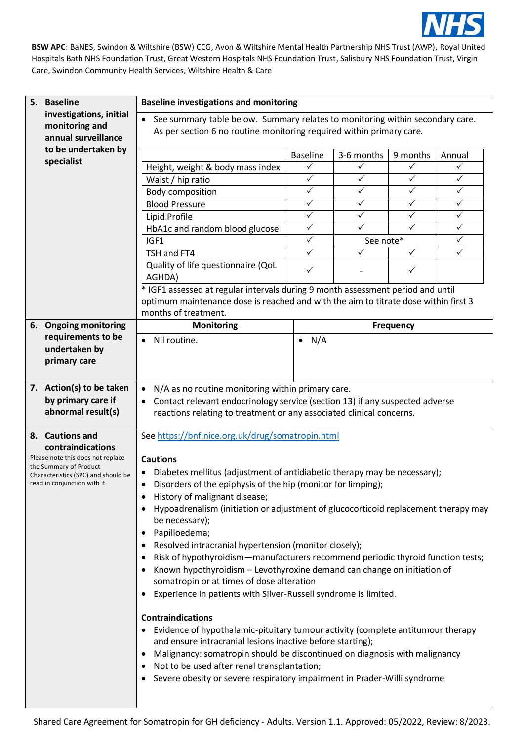

|    | 5. Baseline                                                      | <b>Baseline investigations and monitoring</b>                                                                                                                                                                                                                                                                                                                                                                                                                                                                                                                                                                                                          |                 |              |                  |              |
|----|------------------------------------------------------------------|--------------------------------------------------------------------------------------------------------------------------------------------------------------------------------------------------------------------------------------------------------------------------------------------------------------------------------------------------------------------------------------------------------------------------------------------------------------------------------------------------------------------------------------------------------------------------------------------------------------------------------------------------------|-----------------|--------------|------------------|--------------|
|    | investigations, initial<br>monitoring and<br>annual surveillance | • See summary table below. Summary relates to monitoring within secondary care.<br>As per section 6 no routine monitoring required within primary care.                                                                                                                                                                                                                                                                                                                                                                                                                                                                                                |                 |              |                  |              |
|    | to be undertaken by                                              |                                                                                                                                                                                                                                                                                                                                                                                                                                                                                                                                                                                                                                                        | <b>Baseline</b> | 3-6 months   | 9 months         | Annual       |
|    | specialist                                                       | Height, weight & body mass index                                                                                                                                                                                                                                                                                                                                                                                                                                                                                                                                                                                                                       | $\checkmark$    | ✓            | ✓                | ✓            |
|    |                                                                  | Waist / hip ratio                                                                                                                                                                                                                                                                                                                                                                                                                                                                                                                                                                                                                                      | $\checkmark$    | ✓            | $\checkmark$     | $\checkmark$ |
|    |                                                                  | Body composition                                                                                                                                                                                                                                                                                                                                                                                                                                                                                                                                                                                                                                       | $\checkmark$    | $\checkmark$ | $\checkmark$     | $\checkmark$ |
|    |                                                                  | <b>Blood Pressure</b>                                                                                                                                                                                                                                                                                                                                                                                                                                                                                                                                                                                                                                  | $\checkmark$    | ✓            | $\checkmark$     | ✓            |
|    |                                                                  | Lipid Profile                                                                                                                                                                                                                                                                                                                                                                                                                                                                                                                                                                                                                                          | $\checkmark$    | ✓            | ✓                | $\checkmark$ |
|    |                                                                  | HbA1c and random blood glucose                                                                                                                                                                                                                                                                                                                                                                                                                                                                                                                                                                                                                         | $\checkmark$    | $\checkmark$ | $\checkmark$     | $\checkmark$ |
|    |                                                                  | IGF1                                                                                                                                                                                                                                                                                                                                                                                                                                                                                                                                                                                                                                                   | $\checkmark$    | See note*    |                  | ✓            |
|    |                                                                  | TSH and FT4                                                                                                                                                                                                                                                                                                                                                                                                                                                                                                                                                                                                                                            | $\checkmark$    | $\checkmark$ | $\checkmark$     | $\checkmark$ |
|    |                                                                  | Quality of life questionnaire (QoL                                                                                                                                                                                                                                                                                                                                                                                                                                                                                                                                                                                                                     |                 |              |                  |              |
|    |                                                                  | AGHDA)                                                                                                                                                                                                                                                                                                                                                                                                                                                                                                                                                                                                                                                 | $\checkmark$    |              | $\checkmark$     |              |
|    |                                                                  | * IGF1 assessed at regular intervals during 9 month assessment period and until                                                                                                                                                                                                                                                                                                                                                                                                                                                                                                                                                                        |                 |              |                  |              |
|    |                                                                  | optimum maintenance dose is reached and with the aim to titrate dose within first 3                                                                                                                                                                                                                                                                                                                                                                                                                                                                                                                                                                    |                 |              |                  |              |
|    |                                                                  | months of treatment.                                                                                                                                                                                                                                                                                                                                                                                                                                                                                                                                                                                                                                   |                 |              |                  |              |
| 6. | <b>Ongoing monitoring</b>                                        | Monitoring                                                                                                                                                                                                                                                                                                                                                                                                                                                                                                                                                                                                                                             |                 |              | <b>Frequency</b> |              |
|    | requirements to be                                               | Nil routine.<br>$\bullet$                                                                                                                                                                                                                                                                                                                                                                                                                                                                                                                                                                                                                              | $\bullet$ N/A   |              |                  |              |
|    | undertaken by                                                    |                                                                                                                                                                                                                                                                                                                                                                                                                                                                                                                                                                                                                                                        |                 |              |                  |              |
|    | primary care                                                     |                                                                                                                                                                                                                                                                                                                                                                                                                                                                                                                                                                                                                                                        |                 |              |                  |              |
|    |                                                                  |                                                                                                                                                                                                                                                                                                                                                                                                                                                                                                                                                                                                                                                        |                 |              |                  |              |
|    | 7. Action(s) to be taken                                         | N/A as no routine monitoring within primary care.<br>$\bullet$                                                                                                                                                                                                                                                                                                                                                                                                                                                                                                                                                                                         |                 |              |                  |              |
|    | by primary care if                                               | Contact relevant endocrinology service (section 13) if any suspected adverse<br>$\bullet$                                                                                                                                                                                                                                                                                                                                                                                                                                                                                                                                                              |                 |              |                  |              |
|    | abnormal result(s)                                               | reactions relating to treatment or any associated clinical concerns.                                                                                                                                                                                                                                                                                                                                                                                                                                                                                                                                                                                   |                 |              |                  |              |
|    |                                                                  |                                                                                                                                                                                                                                                                                                                                                                                                                                                                                                                                                                                                                                                        |                 |              |                  |              |
|    | 8. Cautions and                                                  | See https://bnf.nice.org.uk/drug/somatropin.html                                                                                                                                                                                                                                                                                                                                                                                                                                                                                                                                                                                                       |                 |              |                  |              |
|    | contraindications                                                |                                                                                                                                                                                                                                                                                                                                                                                                                                                                                                                                                                                                                                                        |                 |              |                  |              |
|    | Please note this does not replace                                | <b>Cautions</b>                                                                                                                                                                                                                                                                                                                                                                                                                                                                                                                                                                                                                                        |                 |              |                  |              |
|    | the Summary of Product<br>Characteristics (SPC) and should be    | Diabetes mellitus (adjustment of antidiabetic therapy may be necessary);                                                                                                                                                                                                                                                                                                                                                                                                                                                                                                                                                                               |                 |              |                  |              |
|    | read in conjunction with it.                                     | • Disorders of the epiphysis of the hip (monitor for limping);                                                                                                                                                                                                                                                                                                                                                                                                                                                                                                                                                                                         |                 |              |                  |              |
|    |                                                                  | History of malignant disease;                                                                                                                                                                                                                                                                                                                                                                                                                                                                                                                                                                                                                          |                 |              |                  |              |
|    |                                                                  |                                                                                                                                                                                                                                                                                                                                                                                                                                                                                                                                                                                                                                                        |                 |              |                  |              |
|    |                                                                  | Hypoadrenalism (initiation or adjustment of glucocorticoid replacement therapy may<br>be necessary);<br>Papilloedema;<br>$\bullet$<br>Resolved intracranial hypertension (monitor closely);<br>Risk of hypothyroidism—manufacturers recommend periodic thyroid function tests;<br>Known hypothyroidism - Levothyroxine demand can change on initiation of<br>somatropin or at times of dose alteration<br>Experience in patients with Silver-Russell syndrome is limited.<br><b>Contraindications</b><br>Evidence of hypothalamic-pituitary tumour activity (complete antitumour therapy<br>and ensure intracranial lesions inactive before starting); |                 |              |                  |              |
|    |                                                                  |                                                                                                                                                                                                                                                                                                                                                                                                                                                                                                                                                                                                                                                        |                 |              |                  |              |
|    |                                                                  |                                                                                                                                                                                                                                                                                                                                                                                                                                                                                                                                                                                                                                                        |                 |              |                  |              |
|    |                                                                  |                                                                                                                                                                                                                                                                                                                                                                                                                                                                                                                                                                                                                                                        |                 |              |                  |              |
|    |                                                                  |                                                                                                                                                                                                                                                                                                                                                                                                                                                                                                                                                                                                                                                        |                 |              |                  |              |
|    |                                                                  |                                                                                                                                                                                                                                                                                                                                                                                                                                                                                                                                                                                                                                                        |                 |              |                  |              |
|    |                                                                  |                                                                                                                                                                                                                                                                                                                                                                                                                                                                                                                                                                                                                                                        |                 |              |                  |              |
|    |                                                                  |                                                                                                                                                                                                                                                                                                                                                                                                                                                                                                                                                                                                                                                        |                 |              |                  |              |
|    |                                                                  |                                                                                                                                                                                                                                                                                                                                                                                                                                                                                                                                                                                                                                                        |                 |              |                  |              |
|    |                                                                  |                                                                                                                                                                                                                                                                                                                                                                                                                                                                                                                                                                                                                                                        |                 |              |                  |              |
|    |                                                                  |                                                                                                                                                                                                                                                                                                                                                                                                                                                                                                                                                                                                                                                        |                 |              |                  |              |
|    |                                                                  | Malignancy: somatropin should be discontinued on diagnosis with malignancy<br>$\bullet$                                                                                                                                                                                                                                                                                                                                                                                                                                                                                                                                                                |                 |              |                  |              |
|    |                                                                  | Not to be used after renal transplantation;                                                                                                                                                                                                                                                                                                                                                                                                                                                                                                                                                                                                            |                 |              |                  |              |
|    |                                                                  | Severe obesity or severe respiratory impairment in Prader-Willi syndrome                                                                                                                                                                                                                                                                                                                                                                                                                                                                                                                                                                               |                 |              |                  |              |
|    |                                                                  |                                                                                                                                                                                                                                                                                                                                                                                                                                                                                                                                                                                                                                                        |                 |              |                  |              |
|    |                                                                  |                                                                                                                                                                                                                                                                                                                                                                                                                                                                                                                                                                                                                                                        |                 |              |                  |              |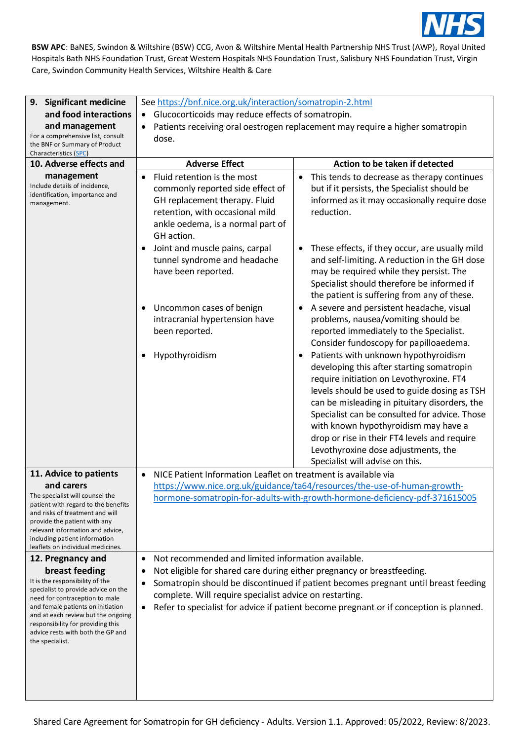

| 9. Significant medicine                                                                                                                                                                                                                                                                                                 | See https://bnf.nice.org.uk/interaction/somatropin-2.html                                                                                                                                                                             |                                                                                                                                                                                                                                                                                                                                                                                                                                                   |  |
|-------------------------------------------------------------------------------------------------------------------------------------------------------------------------------------------------------------------------------------------------------------------------------------------------------------------------|---------------------------------------------------------------------------------------------------------------------------------------------------------------------------------------------------------------------------------------|---------------------------------------------------------------------------------------------------------------------------------------------------------------------------------------------------------------------------------------------------------------------------------------------------------------------------------------------------------------------------------------------------------------------------------------------------|--|
| and food interactions                                                                                                                                                                                                                                                                                                   | Glucocorticoids may reduce effects of somatropin.<br>$\bullet$                                                                                                                                                                        |                                                                                                                                                                                                                                                                                                                                                                                                                                                   |  |
| and management                                                                                                                                                                                                                                                                                                          | Patients receiving oral oestrogen replacement may require a higher somatropin                                                                                                                                                         |                                                                                                                                                                                                                                                                                                                                                                                                                                                   |  |
| For a comprehensive list, consult<br>the BNF or Summary of Product<br>Characteristics (SPC)                                                                                                                                                                                                                             | dose.                                                                                                                                                                                                                                 |                                                                                                                                                                                                                                                                                                                                                                                                                                                   |  |
| 10. Adverse effects and                                                                                                                                                                                                                                                                                                 | <b>Adverse Effect</b>                                                                                                                                                                                                                 | Action to be taken if detected                                                                                                                                                                                                                                                                                                                                                                                                                    |  |
| management<br>Include details of incidence,<br>identification, importance and<br>management.                                                                                                                                                                                                                            | Fluid retention is the most<br>$\bullet$<br>commonly reported side effect of<br>GH replacement therapy. Fluid<br>retention, with occasional mild<br>ankle oedema, is a normal part of<br>GH action.                                   | This tends to decrease as therapy continues<br>$\bullet$<br>but if it persists, the Specialist should be<br>informed as it may occasionally require dose<br>reduction.                                                                                                                                                                                                                                                                            |  |
|                                                                                                                                                                                                                                                                                                                         | Joint and muscle pains, carpal<br>$\bullet$<br>tunnel syndrome and headache<br>have been reported.                                                                                                                                    | These effects, if they occur, are usually mild<br>and self-limiting. A reduction in the GH dose<br>may be required while they persist. The<br>Specialist should therefore be informed if<br>the patient is suffering from any of these.                                                                                                                                                                                                           |  |
|                                                                                                                                                                                                                                                                                                                         | Uncommon cases of benign<br>intracranial hypertension have<br>been reported.                                                                                                                                                          | A severe and persistent headache, visual<br>problems, nausea/vomiting should be<br>reported immediately to the Specialist.<br>Consider fundoscopy for papilloaedema.                                                                                                                                                                                                                                                                              |  |
|                                                                                                                                                                                                                                                                                                                         | Hypothyroidism                                                                                                                                                                                                                        | Patients with unknown hypothyroidism<br>developing this after starting somatropin<br>require initiation on Levothyroxine. FT4<br>levels should be used to guide dosing as TSH<br>can be misleading in pituitary disorders, the<br>Specialist can be consulted for advice. Those<br>with known hypothyroidism may have a<br>drop or rise in their FT4 levels and require<br>Levothyroxine dose adjustments, the<br>Specialist will advise on this. |  |
| 11. Advice to patients<br>and carers<br>The specialist will counsel the<br>patient with regard to the benefits<br>and risks of treatment and will<br>provide the patient with any<br>relevant information and advice,<br>including patient information<br>leaflets on individual medicines.                             | NICE Patient Information Leaflet on treatment is available via<br>$\bullet$<br>https://www.nice.org.uk/guidance/ta64/resources/the-use-of-human-growth-<br>hormone-somatropin-for-adults-with-growth-hormone-deficiency-pdf-371615005 |                                                                                                                                                                                                                                                                                                                                                                                                                                                   |  |
| 12. Pregnancy and<br>breast feeding<br>It is the responsibility of the<br>specialist to provide advice on the<br>need for contraception to male<br>and female patients on initiation<br>and at each review but the ongoing<br>responsibility for providing this<br>advice rests with both the GP and<br>the specialist. | Not recommended and limited information available.<br>$\bullet$<br>Not eligible for shared care during either pregnancy or breastfeeding.<br>$\bullet$<br>٠<br>complete. Will require specialist advice on restarting.<br>$\bullet$   | Somatropin should be discontinued if patient becomes pregnant until breast feeding<br>Refer to specialist for advice if patient become pregnant or if conception is planned.                                                                                                                                                                                                                                                                      |  |